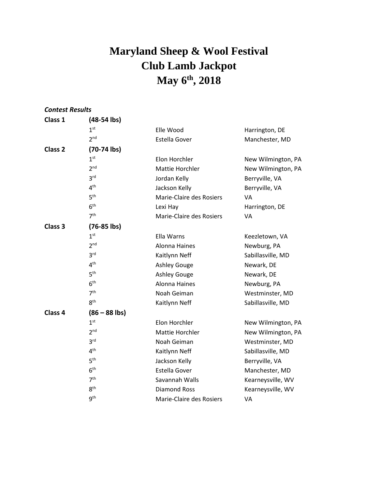## **Maryland Sheep & Wool Festival Club Lamb Jackpot May 6 th , 2018**

| <b>Contest Results</b> |                 |                          |                    |
|------------------------|-----------------|--------------------------|--------------------|
| Class 1                | $(48-54$ lbs)   |                          |                    |
|                        | 1 <sup>st</sup> | Elle Wood                | Harrington, DE     |
|                        | 2 <sup>nd</sup> | Estella Gover            | Manchester, MD     |
| Class <sub>2</sub>     | $(70-74$ lbs)   |                          |                    |
|                        | 1 <sup>st</sup> | Elon Horchler            | New Wilmington, PA |
|                        | 2 <sub>nd</sub> | Mattie Horchler          | New Wilmington, PA |
|                        | 3 <sup>rd</sup> | Jordan Kelly             | Berryville, VA     |
|                        | 4 <sup>th</sup> | Jackson Kelly            | Berryville, VA     |
|                        | 5 <sup>th</sup> | Marie-Claire des Rosiers | VA                 |
|                        | 6 <sup>th</sup> | Lexi Hay                 | Harrington, DE     |
|                        | 7 <sup>th</sup> | Marie-Claire des Rosiers | VA                 |
| Class <sub>3</sub>     | $(76-85$ lbs)   |                          |                    |
|                        | 1 <sup>st</sup> | Ella Warns               | Keezletown, VA     |
|                        | 2 <sub>nd</sub> | <b>Alonna Haines</b>     | Newburg, PA        |
|                        | 3 <sup>rd</sup> | Kaitlynn Neff            | Sabillasville, MD  |
|                        | 4 <sup>th</sup> | <b>Ashley Gouge</b>      | Newark, DE         |
|                        | 5 <sup>th</sup> | <b>Ashley Gouge</b>      | Newark, DE         |
|                        | 6 <sup>th</sup> | <b>Alonna Haines</b>     | Newburg, PA        |
|                        | 7 <sup>th</sup> | Noah Geiman              | Westminster, MD    |
|                        | 8 <sup>th</sup> | Kaitlynn Neff            | Sabillasville, MD  |
| Class <sub>4</sub>     | $(86 - 88$ lbs) |                          |                    |
|                        | 1 <sup>st</sup> | Elon Horchler            | New Wilmington, PA |
|                        | 2 <sup>nd</sup> | Mattie Horchler          | New Wilmington, PA |
|                        | 3 <sup>rd</sup> | Noah Geiman              | Westminster, MD    |
|                        | 4 <sup>th</sup> | Kaitlynn Neff            | Sabillasville, MD  |
|                        | 5 <sup>th</sup> | Jackson Kelly            | Berryville, VA     |
|                        | 6 <sup>th</sup> | <b>Estella Gover</b>     | Manchester, MD     |
|                        | 7 <sup>th</sup> | Savannah Walls           | Kearneysville, WV  |
|                        | 8 <sup>th</sup> | <b>Diamond Ross</b>      | Kearneysville, WV  |
|                        | 9 <sup>th</sup> | Marie-Claire des Rosiers | VA                 |